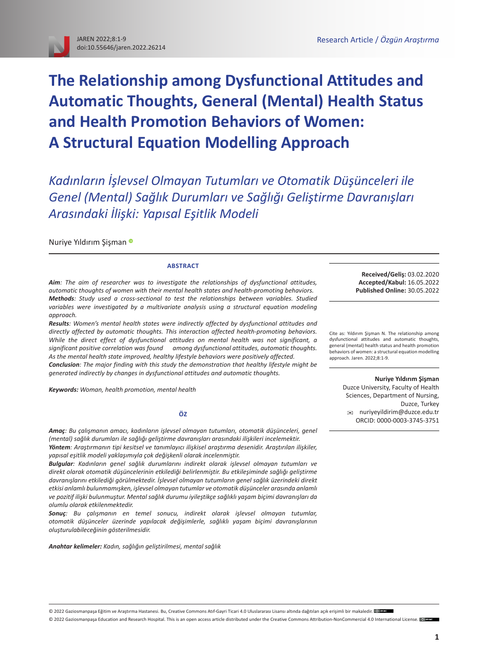# **The Relationship among Dysfunctional Attitudes and Automatic Thoughts, General (Mental) Health Status and Health Promotion Behaviors of Women: A Structural Equation Modelling Approach**

*Kadınların İşlevsel Olmayan Tutumları ve Otomatik Düşünceleri ile Genel (Mental) Sağlık Durumları ve Sağlığı Geliştirme Davranışları Arasındaki İlişki: Yapısal Eşitlik Modeli*

Nuriye Yıldırım Şişman

#### **ABSTRACT**

*Aim: The aim of researcher was to investigate the relationships of dysfunctional attitudes, automatic thoughts of women with their mental health states and health-promoting behaviors. Methods: Study used a cross-sectional to test the relationships between variables. Studied*  variables were investigated by a multivariate analysis using a structural equation modeling *approach.*

*Results: Women's mental health states were indirectly affected by dysfunctional attitudes and directly affected by automatic thoughts. This interaction affected health-promoting behaviors. While the direct effect of dysfunctional attitudes on mental health was not significant, a significant positive correlation was found among dysfunctional attitudes, automatic thoughts. As the mental health state improved, healthy lifestyle behaviors were positively affected. Conclusion: The major finding with this study the demonstration that healthy lifestyle might be generated indirectly by changes in dysfunctional attitudes and automatic thoughts.*

*Keywords: Woman, health promotion, mental health*

#### **ÖZ**

*Amaç: Bu çalışmanın amacı, kadınların işlevsel olmayan tutumları, otomatik düşünceleri, genel (mental) sağlık durumları ile sağlığı geliştirme davranışları arasındaki ilişkileri incelemektir. Yöntem: Araştırmanın tipi kesitsel ve tanımlayıcı ilişkisel araştırma desenidir. Araştırılan ilişkiler, yapısal eşitlik modeli yaklaşımıyla çok değişkenli olarak incelenmiştir.*

*Bulgular: Kadınların genel sağlık durumlarını indirekt olarak işlevsel olmayan tutumları ve direkt olarak otomatik düşüncelerinin etkilediği belirlenmiştir. Bu etkileşiminde sağlığı geliştirme davranışlarını etkilediği görülmektedir. İşlevsel olmayan tutumların genel sağlık üzerindeki direkt etkisi anlamlı bulunmamışken, işlevsel olmayan tutumlar ve otomatik düşünceler arasında anlamlı ve pozitif ilişki bulunmuştur. Mental sağlık durumu iyileştikçe sağlıklı yaşam biçimi davranışları da olumlu olarak etkilenmektedir.*

*Sonuç: Bu çalışmanın en temel sonucu, indirekt olarak işlevsel olmayan tutumlar, otomatik düşünceler üzerinde yapılacak değişimlerle, sağlıklı yaşam biçimi davranışlarının oluşturulabileceğinin gösterilmesidir.*

*Anahtar kelimeler: Kadın, sağlığın geliştirilmesi, mental sağlık*

**Received/Geliş:** 03.02.2020 **Accepted/Kabul:** 16.05.2022 **Published Online:** 30.05.2022

Cite as: Yıldırım Şişman N. The relationship among dysfunctional attitudes and automatic thoughts, general (mental) health status and health promotion behaviors of women: a structural equation modelling approach. Jaren. 2022;8:1-9.

> **Nuriye Yıldırım Şişman** Duzce University, Faculty of Health Sciences, Department of Nursing, Duzce, Turkey [nuriyeyildirim@duzce.edu.tr](mailto:nuriyeyildirim%40duzce.edu.tr?subject=) ORCID: [0000-0003-3745-3751](https://orcid.org/0000-0003-3745-3751)

© 2022 Gaziosmanpaşa Eğitim ve Araştırma Hastanesi. Bu, [Creative Commons Atıf-Gayri Ticari 4.0 Uluslararası Lisansı](https://creativecommons.org/licenses/by-nc/4.0/deed.tr) altındadağıtılan açık erişimli bir makaledir. <sup>[@]</sup>

© 2022 Gaziosmanpasa Education and Research Hospital. This is an open access article distributed under the [Creative Commons Attribution-NonCommercial 4.0 International License.](https://creativecommons.org/licenses/by-nc/4.0/) @DEE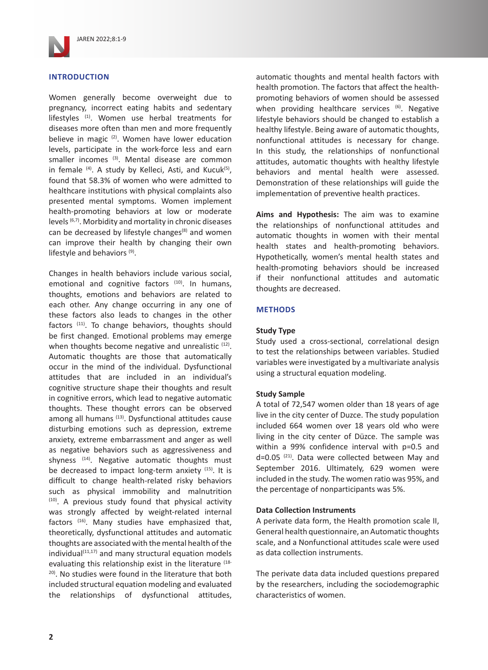

## **INTRODUCTION**

Women generally become overweight due to pregnancy, incorrect eating habits and sedentary lifestyles (1). Women use herbal treatments for diseases more often than men and more frequently believe in magic  $(2)$ . Women have lower education levels, participate in the work-force less and earn smaller incomes (3). Mental disease are common in female  $(4)$ . A study by Kelleci, Asti, and Kucuk $(5)$ , found that 58.3% of women who were admitted to healthcare institutions with physical complaints also presented mental symptoms. Women implement health-promoting behaviors at low or moderate levels (6,7). Morbidity and mortality in chronic diseases can be decreased by lifestyle changes<sup>(8)</sup> and women can improve their health by changing their own lifestyle and behaviors (9).

Changes in health behaviors include various social, emotional and cognitive factors (10). In humans, thoughts, emotions and behaviors are related to each other. Any change occurring in any one of these factors also leads to changes in the other factors (11). To change behaviors, thoughts should be first changed. Emotional problems may emerge when thoughts become negative and unrealistic  $(12)$ . Automatic thoughts are those that automatically occur in the mind of the individual. Dysfunctional attitudes that are included in an individual's cognitive structure shape their thoughts and result in cognitive errors, which lead to negative automatic thoughts. These thought errors can be observed among all humans (13). Dysfunctional attitudes cause disturbing emotions such as depression, extreme anxiety, extreme embarrassment and anger as well as negative behaviors such as aggressiveness and shyness (14). Negative automatic thoughts must be decreased to impact long-term anxiety (15). It is difficult to change health-related risky behaviors such as physical immobility and malnutrition (10). A previous study found that physical activity was strongly affected by weight-related internal factors (16). Many studies have emphasized that, theoretically, dysfunctional attitudes and automatic thoughts are associated with the mental health of the  $individual<sup>(11,17)</sup>$  and many structural equation models evaluating this relationship exist in the literature (18-20). No studies were found in the literature that both included structural equation modeling and evaluated the relationships of dysfunctional attitudes,

automatic thoughts and mental health factors with health promotion. The factors that affect the healthpromoting behaviors of women should be assessed when providing healthcare services  $(6)$ . Negative lifestyle behaviors should be changed to establish a healthy lifestyle. Being aware of automatic thoughts, nonfunctional attitudes is necessary for change. In this study, the relationships of nonfunctional attitudes, automatic thoughts with healthy lifestyle behaviors and mental health were assessed. Demonstration of these relationships will guide the implementation of preventive health practices.

**Aims and Hypothesis:** The aim was to examine the relationships of nonfunctional attitudes and automatic thoughts in women with their mental health states and health-promoting behaviors. Hypothetically, women's mental health states and health-promoting behaviors should be increased if their nonfunctional attitudes and automatic thoughts are decreased.

#### **METHODS**

#### **Study Type**

Study used a cross-sectional, correlational design to test the relationships between variables. Studied variables were investigated by a multivariate analysis using a structural equation modeling.

#### **Study Sample**

A total of 72,547 women older than 18 years of age live in the city center of Duzce. The study population included 664 women over 18 years old who were living in the city center of Düzce. The sample was within a 99% confidence interval with p=0.5 and  $d=0.05$   $(21)$ . Data were collected between May and September 2016. Ultimately, 629 women were included in the study. The women ratio was 95%, and the percentage of nonparticipants was 5%.

#### **Data Collection Instruments**

A perivate data form, the Health promotion scale II, General health questionnaire, an Automatic thoughts scale, and a Nonfunctional attitudes scale were used as data collection instruments.

The perivate data data included questions prepared by the researchers, including the sociodemographic characteristics of women.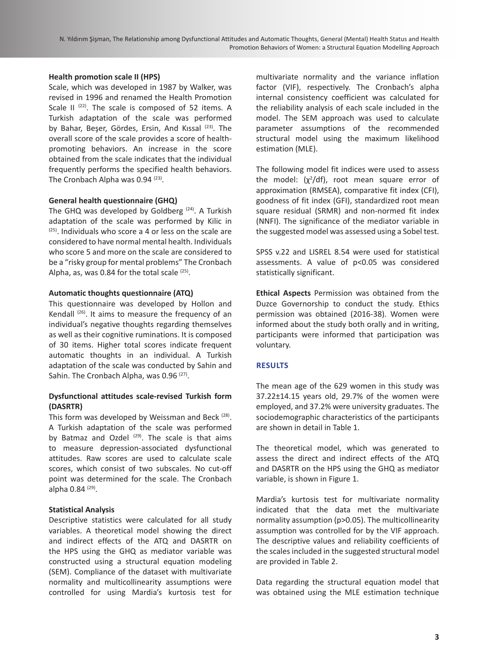## **Health promotion scale II (HPS)**

Scale, which was developed in 1987 by Walker, was revised in 1996 and renamed the Health Promotion Scale II  $(22)$ . The scale is composed of 52 items. A Turkish adaptation of the scale was performed by Bahar, Beşer, Gördes, Ersin, And Kıssal <sup>(23)</sup>. The overall score of the scale provides a score of healthpromoting behaviors. An increase in the score obtained from the scale indicates that the individual frequently performs the specified health behaviors. The Cronbach Alpha was 0.94<sup>(23)</sup>.

## **General health questionnaire (GHQ)**

The GHQ was developed by Goldberg  $(24)$ . A Turkish adaptation of the scale was performed by Kilic in (25). Individuals who score a 4 or less on the scale are considered to have normal mental health. Individuals who score 5 and more on the scale are considered to be a "risky group for mental problems" The Cronbach Alpha, as, was 0.84 for the total scale  $(25)$ .

## **Automatic thoughts questionnaire (ATQ)**

This questionnaire was developed by Hollon and Kendall <sup>(26)</sup>. It aims to measure the frequency of an individual's negative thoughts regarding themselves as well as their cognitive ruminations. It is composed of 30 items. Higher total scores indicate frequent automatic thoughts in an individual. A Turkish adaptation of the scale was conducted by Sahin and Sahin. The Cronbach Alpha, was 0.96<sup>(27)</sup>.

## **Dysfunctional attitudes scale-revised Turkish form (DASRTR)**

This form was developed by Weissman and Beck (28). A Turkish adaptation of the scale was performed by Batmaz and Ozdel (29). The scale is that aims to measure depression-associated dysfunctional attitudes. Raw scores are used to calculate scale scores, which consist of two subscales. No cut-off point was determined for the scale. The Cronbach alpha  $0.84$   $(29)$ .

## **Statistical Analysis**

Descriptive statistics were calculated for all study variables. A theoretical model showing the direct and indirect effects of the ATQ and DASRTR on the HPS using the GHQ as mediator variable was constructed using a structural equation modeling (SEM). Compliance of the dataset with multivariate normality and multicollinearity assumptions were controlled for using Mardia's kurtosis test for

multivariate normality and the variance inflation factor (VIF), respectively. The Cronbach's alpha internal consistency coefficient was calculated for the reliability analysis of each scale included in the model. The SEM approach was used to calculate parameter assumptions of the recommended structural model using the maximum likelihood estimation (MLE).

The following model fit indices were used to assess the model:  $(x^2/df)$ , root mean square error of approximation (RMSEA), comparative fit index (CFI), goodness of fit index (GFI), standardized root mean square residual (SRMR) and non-normed fit index (NNFI). The significance of the mediator variable in the suggested model was assessed using a Sobel test.

SPSS v.22 and LISREL 8.54 were used for statistical assessments. A value of p<0.05 was considered statistically significant.

**Ethical Aspects** Permission was obtained from the Duzce Governorship to conduct the study. Ethics permission was obtained (2016-38). Women were informed about the study both orally and in writing, participants were informed that participation was voluntary.

## **RESULTS**

The mean age of the 629 women in this study was 37.22±14.15 years old, 29.7% of the women were employed, and 37.2% were university graduates. The sociodemographic characteristics of the participants are shown in detail in Table 1.

The theoretical model, which was generated to assess the direct and indirect effects of the ATQ and DASRTR on the HPS using the GHQ as mediator variable, is shown in Figure 1.

Mardia's kurtosis test for multivariate normality indicated that the data met the multivariate normality assumption (p>0.05). The multicollinearity assumption was controlled for by the VIF approach. The descriptive values and reliability coefficients of the scales included in the suggested structural model are provided in Table 2.

Data regarding the structural equation model that was obtained using the MLE estimation technique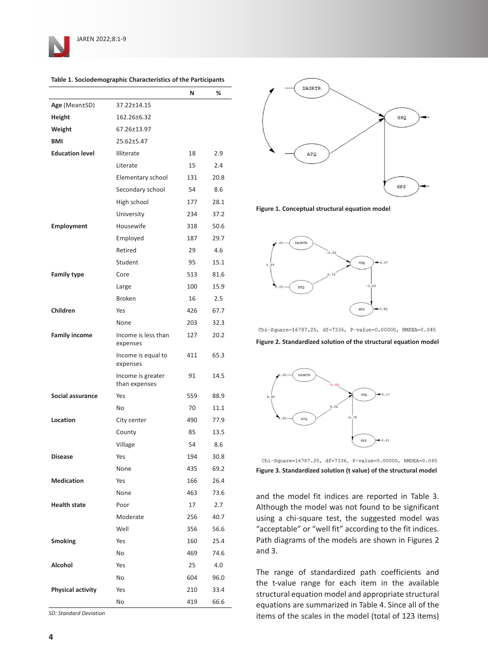

|                          |                                    | N   | ℅    |
|--------------------------|------------------------------------|-----|------|
| Age (Mean±SD)            | 37.22±14.15                        |     |      |
| Height                   | 162.26±6.32                        |     |      |
| Weight                   | 67.26±13.97                        |     |      |
| <b>BMI</b>               | $25.62 + 5.47$                     |     |      |
| <b>Education level</b>   | Illiterate                         | 18  | 2.9  |
|                          | Literate                           | 15  | 2.4  |
|                          | Elementary school                  | 131 | 20.8 |
|                          | Secondary school                   | 54  | 8.6  |
|                          | High school                        | 177 | 28.1 |
|                          | University                         | 234 | 37.2 |
| <b>Employment</b>        | Housewife                          | 318 | 50.6 |
|                          | Employed                           | 187 | 29.7 |
|                          | Retired                            | 29  | 4.6  |
|                          | Student                            | 95  | 15.1 |
| <b>Family type</b>       | Core                               | 513 | 81.6 |
|                          | Large                              | 100 | 15.9 |
|                          | <b>Broken</b>                      | 16  | 2.5  |
| Children                 | Yes                                | 426 | 67.7 |
|                          | None                               | 203 | 32.3 |
| <b>Family income</b>     | Income is less than<br>expenses    | 127 | 20.2 |
|                          | Income is equal to<br>expenses     | 411 | 65.3 |
|                          | Income is greater<br>than expenses | 91  | 14.5 |
| Social assurance         | Yes                                | 559 | 88.9 |
|                          | No                                 | 70  | 11.1 |
| Location                 | City center                        | 490 | 77.9 |
|                          | County                             | 85  | 13.5 |
|                          | Village                            | 54  | 8.6  |
| <b>Disease</b>           | Yes                                | 194 | 30.8 |
|                          | None                               | 435 | 69.2 |
| Medication               | Yes                                | 166 | 26.4 |
|                          | None                               | 463 | 73.6 |
| <b>Health state</b>      | Poor                               | 17  | 2.7  |
|                          | Moderate                           | 256 | 40.7 |
|                          | Well                               | 356 | 56.6 |
| <b>Smoking</b>           | Yes                                | 160 | 25.4 |
|                          | No                                 | 469 | 74.6 |
| Alcohol                  | Yes                                | 25  | 4.0  |
|                          | No                                 | 604 | 96.0 |
| <b>Physical activity</b> | Yes                                | 210 | 33.4 |
|                          | No                                 | 419 | 66.6 |

**Table 1. Sociodemographic Characteristics of the Participants**

*SD: Standard Deviation*



**Figure 1. Conceptual structural equation model**



 $Chi-Square=16787.25$ , df=7336, P-value=0.00000, RMSEA=0.045

**Figure 2. Standardized solution of the structural equation model**



Chi-Square=16787.25, df=7336, P-value=0.00000, RMSEA=0.045 **Figure 3. Standardized solution (t value) of the structural model**

and the model fit indices are reported in Table 3. Although the model was not found to be significant using a chi-square test, the suggested model was "acceptable" or "well fit" according to the fit indices. Path diagrams of the models are shown in Figures 2 and 3.

The range of standardized path coefficients and the t-value range for each item in the available structural equation model and appropriate structural equations are summarized in Table 4. Since all of the items of the scales in the model (total of 123 items)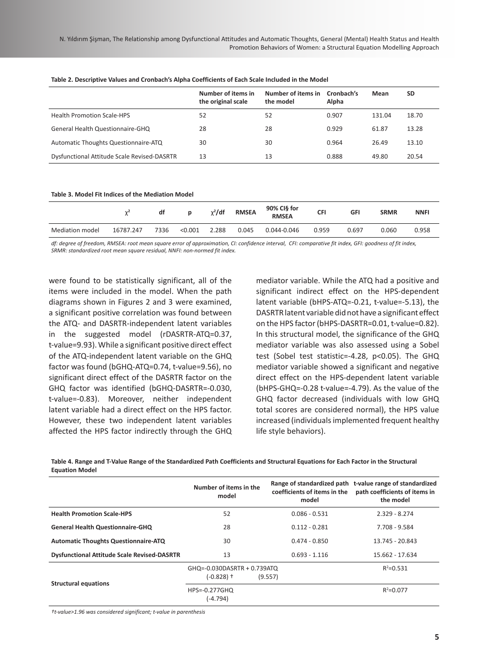|                                             | Number of items in<br>the original scale | Number of items in<br>the model | Cronbach's<br>Alpha | Mean   | <b>SD</b> |
|---------------------------------------------|------------------------------------------|---------------------------------|---------------------|--------|-----------|
| <b>Health Promotion Scale-HPS</b>           | 52                                       | 52                              | 0.907               | 131.04 | 18.70     |
| General Health Questionnaire-GHQ            | 28                                       | 28                              | 0.929               | 61.87  | 13.28     |
| Automatic Thoughts Questionnaire-ATQ        | 30                                       | 30                              | 0.964               | 26.49  | 13.10     |
| Dysfunctional Attitude Scale Revised-DASRTR | 13                                       | 13                              | 0.888               | 49.80  | 20.54     |

#### **Table 2. Descriptive Values and Cronbach's Alpha Coefficients of Each Scale Included in the Model**

#### **Table 3. Model Fit Indices of the Mediation Model**

|                 | $\overline{\phantom{a}}$ | df   |         | $\chi^2$ /df | <b>RMSEA</b> | 90% CI§ for<br><b>RMSEA</b> | CFI   | GFI   | <b>SRMR</b> | <b>NNFI</b> |
|-----------------|--------------------------|------|---------|--------------|--------------|-----------------------------|-------|-------|-------------|-------------|
| Mediation model | 16787.247                | 7336 | < 0.001 | 2.288        | 0.045        | 0.044-0.046                 | 0.959 | 0.697 | 0.060       | 0.958       |

*df: degree of freedom, RMSEA: root mean square error of approximation, CI: confidence interval, CFI: comparative fit index, GFI: goodness of fit index, SRMR: standardized root mean square residual, NNFI: non-normed fit index.*

were found to be statistically significant, all of the items were included in the model. When the path diagrams shown in Figures 2 and 3 were examined, a significant positive correlation was found between the ATQ- and DASRTR-independent latent variables in the suggested model (rDASRTR-ATQ=0.37, t-value=9.93). While a significant positive direct effect of the ATQ-independent latent variable on the GHQ factor was found (bGHQ-ATQ=0.74, t-value=9.56), no significant direct effect of the DASRTR factor on the GHQ factor was identified (bGHQ-DASRTR=-0.030, t-value=-0.83). Moreover, neither independent latent variable had a direct effect on the HPS factor. However, these two independent latent variables affected the HPS factor indirectly through the GHQ

mediator variable. While the ATQ had a positive and significant indirect effect on the HPS-dependent latent variable (bHPS-ATQ=-0.21, t-value=-5.13), the DASRTR latent variable did not have a significant effect on the HPS factor (bHPS-DASRTR=0.01, t-value=0.82). In this structural model, the significance of the GHQ mediator variable was also assessed using a Sobel test (Sobel test statistic=-4.28, p<0.05). The GHQ mediator variable showed a significant and negative direct effect on the HPS-dependent latent variable (bHPS-GHQ=-0.28 t-value=-4.79). As the value of the GHQ factor decreased (individuals with low GHQ total scores are considered normal), the HPS value increased (individuals implemented frequent healthy life style behaviors).

**Table 4. Range and T-Value Range of the Standardized Path Coefficients and Structural Equations for Each Factor in the Structural Equation Model**

|                                                    | Number of items in the<br>model             | coefficients of items in the<br>model | Range of standardized path t-value range of standardized<br>path coefficients of items in<br>the model |
|----------------------------------------------------|---------------------------------------------|---------------------------------------|--------------------------------------------------------------------------------------------------------|
| <b>Health Promotion Scale-HPS</b>                  | 52                                          | $0.086 - 0.531$                       | $2.329 - 8.274$                                                                                        |
| <b>General Health Questionnaire-GHQ</b>            | 28                                          | $0.112 - 0.281$                       | 7.708 - 9.584                                                                                          |
| <b>Automatic Thoughts Questionnaire-ATQ</b>        | 30                                          | $0.474 - 0.850$                       | 13.745 - 20.843                                                                                        |
| <b>Dysfunctional Attitude Scale Revised-DASRTR</b> | 13                                          | $0.693 - 1.116$                       | 15.662 - 17.634                                                                                        |
| <b>Structural equations</b>                        | GHQ=-0.030DASRTR + 0.739ATQ<br>$(-0.828)$ † | (9.557)                               | $R^2 = 0.531$                                                                                          |
|                                                    | HPS=-0.277GHQ<br>(-4.794)                   |                                       | $R^2 = 0.077$                                                                                          |

*†t-value>1.96 was considered significant; t-value in parenthesis*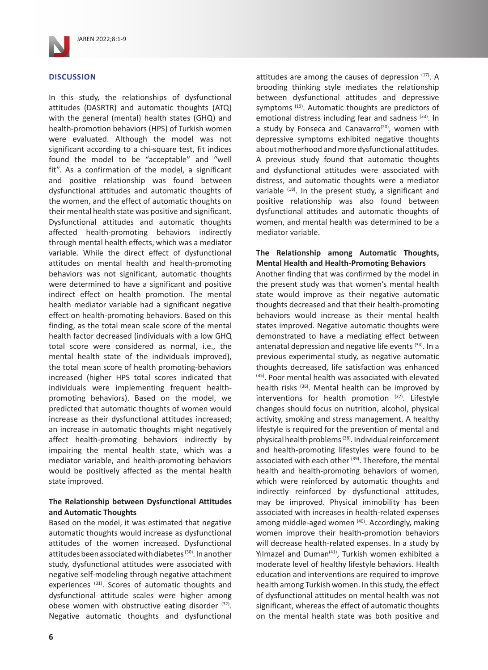

## **DISCUSSION**

In this study, the relationships of dysfunctional attitudes (DASRTR) and automatic thoughts (ATQ) with the general (mental) health states (GHQ) and health-promotion behaviors (HPS) of Turkish women were evaluated. Although the model was not significant according to a chi-square test, fit indices found the model to be "acceptable" and "well fit". As a confirmation of the model, a significant and positive relationship was found between dysfunctional attitudes and automatic thoughts of the women, and the effect of automatic thoughts on their mental health state was positive and significant. Dysfunctional attitudes and automatic thoughts affected health-promoting behaviors indirectly through mental health effects, which was a mediator variable. While the direct effect of dysfunctional attitudes on mental health and health-promoting behaviors was not significant, automatic thoughts were determined to have a significant and positive indirect effect on health promotion. The mental health mediator variable had a significant negative effect on health-promoting behaviors. Based on this finding, as the total mean scale score of the mental health factor decreased (individuals with a low GHQ total score were considered as normal, i.e., the mental health state of the individuals improved), the total mean score of health promoting-behaviors increased (higher HPS total scores indicated that individuals were implementing frequent healthpromoting behaviors). Based on the model, we predicted that automatic thoughts of women would increase as their dysfunctional attitudes increased; an increase in automatic thoughts might negatively affect health-promoting behaviors indirectly by impairing the mental health state, which was a mediator variable, and health-promoting behaviors would be positively affected as the mental health state improved.

## **The Relationship between Dysfunctional Attitudes and Automatic Thoughts**

Based on the model, it was estimated that negative automatic thoughts would increase as dysfunctional attitudes of the women increased. Dysfunctional attitudes been associated with diabetes (30). In another study, dysfunctional attitudes were associated with negative self-modeling through negative attachment experiences (31). Scores of automatic thoughts and dysfunctional attitude scales were higher among obese women with obstructive eating disorder (32). Negative automatic thoughts and dysfunctional attitudes are among the causes of depression  $(17)$ . A brooding thinking style mediates the relationship between dysfunctional attitudes and depressive symptoms<sup>(19)</sup>. Automatic thoughts are predictors of emotional distress including fear and sadness (33). In a study by Fonseca and Canavarro<sup>(20)</sup>, women with depressive symptoms exhibited negative thoughts about motherhood and more dysfunctional attitudes. A previous study found that automatic thoughts and dysfunctional attitudes were associated with distress, and automatic thoughts were a mediator variable  $(18)$ . In the present study, a significant and positive relationship was also found between dysfunctional attitudes and automatic thoughts of women, and mental health was determined to be a mediator variable.

## **The Relationship among Automatic Thoughts, Mental Health and Health-Promoting Behaviors**

Another finding that was confirmed by the model in the present study was that women's mental health state would improve as their negative automatic thoughts decreased and that their health-promoting behaviors would increase as their mental health states improved. Negative automatic thoughts were demonstrated to have a mediating effect between antenatal depression and negative life events (34). In a previous experimental study, as negative automatic thoughts decreased, life satisfaction was enhanced (35). Poor mental health was associated with elevated health risks (36). Mental health can be improved by interventions for health promotion (37). Lifestyle changes should focus on nutrition, alcohol, physical activity, smoking and stress management. A healthy lifestyle is required for the prevention of mental and physical health problems (38). Individual reinforcement and health-promoting lifestyles were found to be associated with each other (39). Therefore, the mental health and health-promoting behaviors of women, which were reinforced by automatic thoughts and indirectly reinforced by dysfunctional attitudes, may be improved. Physical immobility has been associated with increases in health-related expenses among middle-aged women (40). Accordingly, making women improve their health-promotion behaviors will decrease health-related expenses. In a study by Yılmazel and Duman<sup>(41)</sup>, Turkish women exhibited a moderate level of healthy lifestyle behaviors. Health education and interventions are required to improve health among Turkish women. In this study, the effect of dysfunctional attitudes on mental health was not significant, whereas the effect of automatic thoughts on the mental health state was both positive and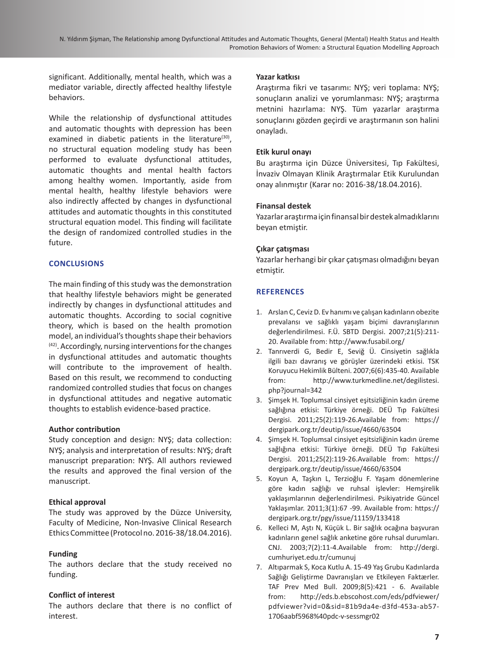significant. Additionally, mental health, which was a mediator variable, directly affected healthy lifestyle behaviors.

While the relationship of dysfunctional attitudes and automatic thoughts with depression has been examined in diabetic patients in the literature $(30)$ , no structural equation modeling study has been performed to evaluate dysfunctional attitudes, automatic thoughts and mental health factors among healthy women. Importantly, aside from mental health, healthy lifestyle behaviors were also indirectly affected by changes in dysfunctional attitudes and automatic thoughts in this constituted structural equation model. This finding will facilitate the design of randomized controlled studies in the future.

# **CONCLUSIONS**

The main finding of this study was the demonstration that healthy lifestyle behaviors might be generated indirectly by changes in dysfunctional attitudes and automatic thoughts. According to social cognitive theory, which is based on the health promotion model, an individual's thoughts shape their behaviors (42). Accordingly, nursing interventions for the changes in dysfunctional attitudes and automatic thoughts will contribute to the improvement of health. Based on this result, we recommend to conducting randomized controlled studies that focus on changes in dysfunctional attitudes and negative automatic thoughts to establish evidence-based practice.

## **Author contribution**

Study conception and design: NYŞ; data collection: NYŞ; analysis and interpretation of results: NYŞ; draft manuscript preparation: NYŞ. All authors reviewed the results and approved the final version of the manuscript.

# **Ethical approval**

The study was approved by the Düzce University, Faculty of Medicine, Non-Invasive Clinical Research Ethics Committee (Protocol no. 2016-38/18.04.2016).

# **Funding**

The authors declare that the study received no funding.

# **Conflict of interest**

The authors declare that there is no conflict of interest.

## **Yazar katkısı**

Araştırma fikri ve tasarımı: NYŞ; veri toplama: NYŞ; sonuçların analizi ve yorumlanması: NYŞ; araştırma metnini hazırlama: NYŞ. Tüm yazarlar araştırma sonuçlarını gözden geçirdi ve araştırmanın son halini onayladı.

# **Etik kurul onayı**

Bu araştırma için Düzce Üniversitesi, Tıp Fakültesi, İnvaziv Olmayan Klinik Araştırmalar Etik Kurulundan onay alınmıştır (Karar no: 2016-38/18.04.2016).

# **Finansal destek**

Yazarlar araştırma için finansal bir destek almadıklarını beyan etmiştir.

# **Çıkar çatışması**

Yazarlar herhangi bir çıkar çatışması olmadığını beyan etmiştir.

# **REFERENCES**

- 1. Arslan C, Ceviz D. Ev hanımı ve çalışan kadınların obezite prevalansı ve sağlıklı yaşam biçimi davranışlarının değerlendirilmesi. F.Ü. SBTD Dergisi. 2007;21(5):211- 20. Available from:<http://www.fusabil.org/>
- 2. Tanrıverdi G, Bedir E, Seviğ Ü. Cinsiyetin sağlıkla ilgili bazı davranış ve görüşler üzerindeki etkisi. TSK Koruyucu Hekimlik Bülteni. 2007;6(6):435-40. Available from: [http://www.turkmedline.net/degilistesi.](http://www.turkmedline.net/degilistesi.php?journal=342) [php?journal=342](http://www.turkmedline.net/degilistesi.php?journal=342)
- 3. Şimşek H. Toplumsal cinsiyet eşitsizliğinin kadın üreme sağlığına etkisi: Türkiye örneği. DEÜ Tıp Fakültesi Dergisi. 2011;25(2):119-26.Available from: [https://](https://dergipark.org.tr/deutip/issue/4660/63504) [dergipark.org.tr/deutip/issue/4660/63504](https://dergipark.org.tr/deutip/issue/4660/63504)
- 4. Şimşek H. Toplumsal cinsiyet eşitsizliğinin kadın üreme sağlığına etkisi: Türkiye örneği. DEÜ Tıp Fakültesi Dergisi. 2011;25(2):119-26.Available from: [https://](https://dergipark.org.tr/deutip/issue/4660/63504) [dergipark.org.tr/deutip/issue/4660/63504](https://dergipark.org.tr/deutip/issue/4660/63504)
- 5. Koyun A, Taşkın L, Terzioğlu F. Yaşam dönemlerine göre kadın sağlığı ve ruhsal işlevler: Hemşirelik yaklaşımlarının değerlendirilmesi. Psikiyatride Güncel Yaklaşımlar. 2011;3(1):67 -99. Available from: [https://](https://dergipark.org.tr/pgy/issue/11159/133418) [dergipark.org.tr/pgy/issue/11159/133418](https://dergipark.org.tr/pgy/issue/11159/133418)
- 6. Kelleci M, Aştı N, Küçük L. Bir sağlık ocağına başvuran kadınların genel sağlık anketine göre ruhsal durumları. CNJ. 2003;7(2):11-4.Available from: [http://dergi.](http://dergi.cumhuriyet.edu.tr/cumunuj) [cumhuriyet.edu.tr/cumunuj](http://dergi.cumhuriyet.edu.tr/cumunuj)
- 7. Altıparmak S, Koca Kutlu A. 15-49 Yaş Grubu Kadınlarda Sağlığı Geliştirme Davranışları ve Etkileyen Faktærler. TAF Prev Med Bull. 2009;8(5):421 - 6. Available from: [http://eds.b.ebscohost.com/eds/pdfviewer/](http://eds.b.ebscohost.com/eds/pdfviewer/pdfviewer?vid=0&sid=81b9da4e-d3fd-453a-ab57-1706aabf5968%40) [pdfviewer?vid=0&sid=81b9da4e-d3fd-453a-ab57-](http://eds.b.ebscohost.com/eds/pdfviewer/pdfviewer?vid=0&sid=81b9da4e-d3fd-453a-ab57-1706aabf5968%40) [1706aabf5968%40pdc-v-sessmgr02](http://eds.b.ebscohost.com/eds/pdfviewer/pdfviewer?vid=0&sid=81b9da4e-d3fd-453a-ab57-1706aabf5968%40)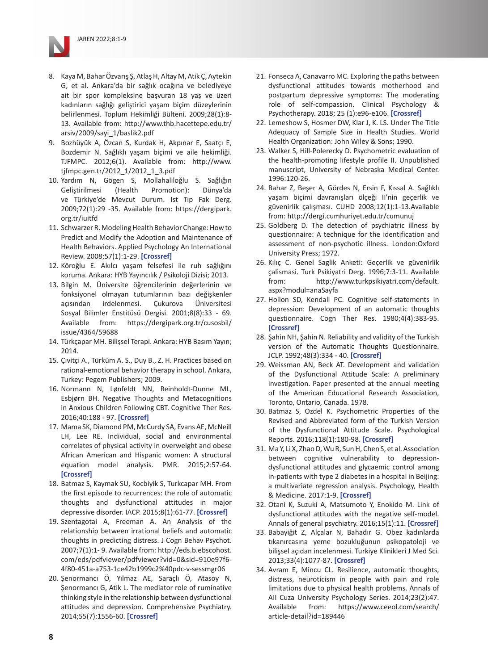

- 9. Bozhüyük A, Özcan S, Kurdak H, Akpınar E, Saatçı E, Bozdemir N. Sağlıklı yaşam biçimi ve aile hekimliği. TJFMPC. 2012;6(1). Available from: [http://www.](http://www.tjfmpc.gen.tr/2012_1/2012_1_3.pdf) [tjfmpc.gen.tr/2012\\_1/2012\\_1\\_3.pdf](http://www.tjfmpc.gen.tr/2012_1/2012_1_3.pdf)
- 10. Yardım N, Gögen S, Mollahaliloğlu S. Sağlığın Geliştirilmesi (Health Promotion): Dünya'da ve Türkiye'de Mevcut Durum. Ist Tıp Fak Derg. 2009;72(1):29 -35. Available from: [https://dergipark.](https://dergipark.org.tr/iuitfd) [org.tr/iuitfd](https://dergipark.org.tr/iuitfd)
- 11. Schwarzer R. Modeling Health Behavior Change: How to Predict and Modify the Adoption and Maintenance of Health Behaviors. Applied Psychology An International Review. 2008;57(1):1-29. **[\[Crossref\]](https://doi.org/10.1111/j.1464-0597.2007.00325.x)**
- 12. Köroğlu E. Akılcı yaşam felsefesi ile ruh sağlığını koruma. Ankara: HYB Yayıncılık / Psikoloji Dizisi; 2013.
- 13. Bilgin M. Üniversite öğrencilerinin değerlerinin ve fonksiyonel olmayan tutumlarının bazı değişkenler açısından irdelenmesi. Çukurova Üniversitesi Sosyal Bilimler Enstitüsü Dergisi. 2001;8(8):33 - 69. Available from: [https://dergipark.org.tr/cusosbil/](https://dergipark.org.tr/cusosbil/issue/4364/59688) [issue/4364/59688](https://dergipark.org.tr/cusosbil/issue/4364/59688)
- 14. Türkçapar MH. Bilişsel Terapi. Ankara: HYB Basım Yayın; 2014.
- 15. Çivitçi A., Türküm A. S., Duy B., Z. H. Practices based on rational-emotional behavior therapy in school. Ankara, Turkey: Pegem Publishers; 2009.
- 16. Normann N, Lønfeldt NN, Reinholdt-Dunne ML, Esbjørn BH. Negative Thoughts and Metacognitions in Anxious Children Following CBT. Cognitive Ther Res. 2016;40:188 - 97. **[\[Crossref\]](https://doi.org/10.1007/s10608-015-9740-2)**
- 17. Mama SK, Diamond PM, McCurdy SA, Evans AE, McNeill LH, Lee RE. Individual, social and environmental correlates of physical activity in overweight and obese African American and Hispanic women: A structural equation model analysis. PMR. 2015;2:57-64. **[\[Crossref\]](https://doi.org/10.1016/j.pmedr.2015.01.001)**
- 18. Batmaz S, Kaymak SU, Kocbiyik S, Turkcapar MH. From the first episode to recurrences: the role of automatic thoughts and dysfunctional attitudes in major depressive disorder. IACP. 2015;8(1):61-77. **[\[Crossref\]](https://doi.org/10.1521/ijct.2015.8.1.61)**
- 19. Szentagotai A, Freeman A. An Analysis of the relationship between irrational beliefs and automatic thoughts in predicting distress. J Cogn Behav Psychot. 2007;7(1):1- 9. Available from: [http://eds.b.ebscohost.](http://eds.b.ebscohost.com/eds/pdfviewer/pdfviewer?vid=0&sid=910e97f6-4f80-451a-a753-1ce42b1999c2%40) [com/eds/pdfviewer/pdfviewer?vid=0&sid=910e97f6-](http://eds.b.ebscohost.com/eds/pdfviewer/pdfviewer?vid=0&sid=910e97f6-4f80-451a-a753-1ce42b1999c2%40) [4f80-451a-a753-1ce42b1999c2%40pdc-v-sessmgr06](http://eds.b.ebscohost.com/eds/pdfviewer/pdfviewer?vid=0&sid=910e97f6-4f80-451a-a753-1ce42b1999c2%40)
- 20. Şenormancı Ö, Yılmaz AE, Saraçlı Ö, Atasoy N, Şenormancı G, Atik L. The mediator role of ruminative thinking style in the relationship between dysfunctional attitudes and depression. Comprehensive Psychiatry. 2014;55(7):1556-60. **[\[Crossref\]](https://doi.org/10.1016/j.comppsych.2014.05.017)**
- 21. Fonseca A, Canavarro MC. Exploring the paths between dysfunctional attitudes towards motherhood and postpartum depressive symptoms: The moderating role of self-compassion. Clinical Psychology & Psychotherapy. 2018; 25 (1):e96-e106. **[\[Crossref\]](https://doi.org/10.1002/cpp.2145)**
- 22. Lemeshow S, Hosmer DW, Klar J, K. LS. Under The Title Adequacy of Sample Size in Health Studies. World Health Organization: John Wiley & Sons; 1990.
- 23. Walker S, Hill-Polerecky D. Psychometric evaluation of the health-promoting lifestyle profile II. Unpublished manuscript, University of Nebraska Medical Center. 1996:120-26.
- 24. Bahar Z, Beşer A, Gördes N, Ersin F, Kıssal A. Sağlıklı yaşam biçimi davranışları ölçeği II'nin geçerlik ve güvenirlik çalışması. CUHD 2008;12(1):1-13.Available from: <http://dergi.cumhuriyet.edu.tr/cumunuj>
- 25. Goldberg D. The detection of psychiatric illness by questionnaire: A technique for the identification and assessment of non-psychotic illness. London:Oxford University Press; 1972.
- 26. Kılıç C. Genel Saglik Anketi: Geçerlik ve güvenirlik çalismasi. Turk Psikiyatri Derg. 1996;7:3-11. Available from: [http://www.turkpsikiyatri.com/default.](http://www.turkpsikiyatri.com/default.aspx?modul=anaSayfa) [aspx?modul=anaSayfa](http://www.turkpsikiyatri.com/default.aspx?modul=anaSayfa)
- 27. Hollon SD, Kendall PC. Cognitive self-statements in depression: Development of an automatic thoughts questionnaire. Cogn Ther Res. 1980;4(4):383-95. **[\[Crossref\]](https://doi.org/10.1007/BF01178214)**
- 28. Şahin NH, Şahin N. Reliability and validity of the Turkish version of the Automatic Thoughts Questionnaire. JCLP. 1992;48(3):334 - 40. **[\[Crossref\]](https://doi.org/10.1002/1097-4679(199205)48:3<334::AID-JCLP2270480311>3.0.CO;2-P)**
- 29. Weissman AN, Beck AT. Development and validation of the Dysfunctional Attitude Scale: A preliminary investigation. Paper presented at the annual meeting of the American Educational Research Association, Toronto, Ontario, Canada. 1978.
- 30. Batmaz S, Ozdel K. Psychometric Properties of the Revised and Abbreviated form of the Turkish Version of the Dysfunctional Attitude Scale. Psychological Reports. 2016;118(1):180-98. **[\[Crossref\]](https://doi.org/10.1177/0033294116628349)**
- 31. Ma Y, Li X, Zhao D, Wu R, Sun H, Chen S, et al. Association between cognitive vulnerability to depressiondysfunctional attitudes and glycaemic control among in-patients with type 2 diabetes in a hospital in Beijing: a multivariate regression analysis. Psychology, Health & Medicine. 2017:1-9. **[\[Crossref\]](https://doi.org/10.1080/13548506.2017.1339894)**
- 32. Otani K, Suzuki A, Matsumoto Y, Enokido M. Link of dysfunctional attitudes with the negative self-model. Annals of general psychiatry. 2016;15(1):11. **[\[Crossref\]](https://doi.org/10.1186/s12991-016-0098-y)**
- 33. Babayiğit Z, Alçalar N, Bahadır G. Obez kadınlarda tıkanırcasına yeme bozukluğunun psikopatoloji ve bilişsel açıdan incelenmesi. Turkiye Klinikleri J Med Sci. 2013;33(4):1077-87. **[\[Crossref\]](https://doi.org/10.5336/medsci.2012-32456)**
- 34. Avram E, Mincu CL. Resilience, automatic thoughts, distress, neuroticism in people with pain and role limitations due to physical health problems. Annals of AII Cuza University Psychology Series. 2014;23(2):47. Available from: [https://www.ceeol.com/search/](https://www.ceeol.com/search/article-detail?id=189446) [article-detail?id=189446](https://www.ceeol.com/search/article-detail?id=189446)